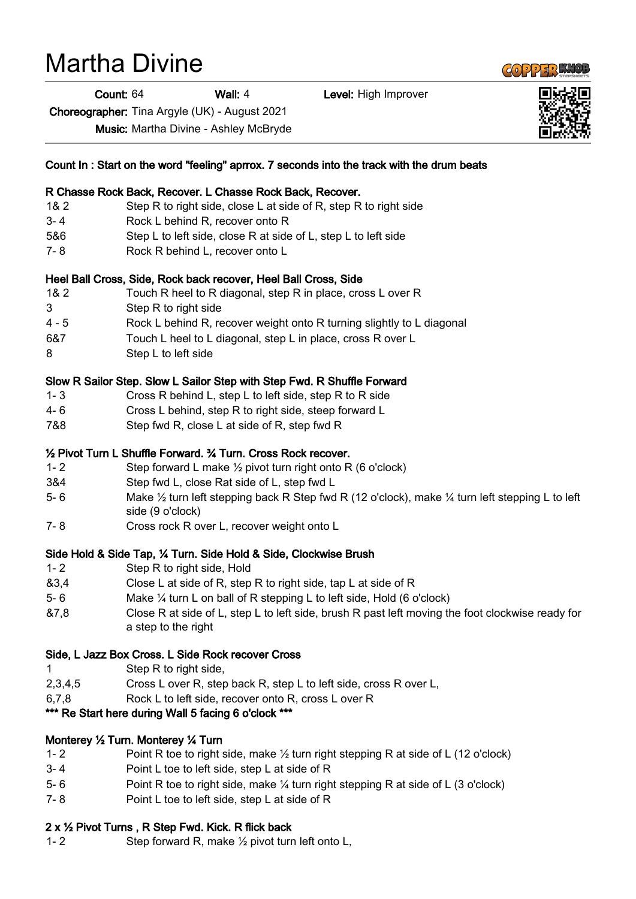## Martha Divine

Count: 64 Wall: 4 Level: High Improver

Choreographer: Tina Argyle (UK) - August 2021

Music: Martha Divine - Ashley McBryde

|         | Count In : Start on the word "feeling" aprrox. 7 seconds into the track with the drum beats                                               |
|---------|-------------------------------------------------------------------------------------------------------------------------------------------|
|         | R Chasse Rock Back, Recover. L Chasse Rock Back, Recover.                                                                                 |
| 18.2    | Step R to right side, close L at side of R, step R to right side                                                                          |
| $3 - 4$ | Rock L behind R, recover onto R                                                                                                           |
| 5&6     | Step L to left side, close R at side of L, step L to left side                                                                            |
| $7 - 8$ | Rock R behind L, recover onto L                                                                                                           |
|         | Heel Ball Cross, Side, Rock back recover, Heel Ball Cross, Side                                                                           |
| 18.2    | Touch R heel to R diagonal, step R in place, cross L over R                                                                               |
| 3       | Step R to right side                                                                                                                      |
| $4 - 5$ | Rock L behind R, recover weight onto R turning slightly to L diagonal                                                                     |
| 6&7     | Touch L heel to L diagonal, step L in place, cross R over L                                                                               |
| 8       | Step L to left side                                                                                                                       |
|         | Slow R Sailor Step. Slow L Sailor Step with Step Fwd. R Shuffle Forward                                                                   |
| $1 - 3$ | Cross R behind L, step L to left side, step R to R side                                                                                   |
| 4- 6    | Cross L behind, step R to right side, steep forward L                                                                                     |
| 7&8     | Step fwd R, close L at side of R, step fwd R                                                                                              |
|         | 1/2 Pivot Turn L Shuffle Forward. 3/4 Turn. Cross Rock recover.                                                                           |
| $1 - 2$ | Step forward L make $\frac{1}{2}$ pivot turn right onto R (6 o'clock)                                                                     |
| 3&4     | Step fwd L, close Rat side of L, step fwd L                                                                                               |
| $5-6$   | Make $\frac{1}{2}$ turn left stepping back R Step fwd R (12 o'clock), make $\frac{1}{4}$ turn left stepping L to left<br>side (9 o'clock) |
| $7 - 8$ | Cross rock R over L, recover weight onto L                                                                                                |
|         | Side Hold & Side Tap, 1⁄4 Turn. Side Hold & Side, Clockwise Brush                                                                         |
| $1 - 2$ | Step R to right side, Hold                                                                                                                |
| 83,4    | Close L at side of R, step R to right side, tap L at side of R                                                                            |
| $5-6$   | Make $\frac{1}{4}$ turn L on ball of R stepping L to left side, Hold (6 o'clock)                                                          |
| &7,8    | Close R at side of L, step L to left side, brush R past left moving the foot clockwise ready for<br>a step to the right                   |
|         | Side, L Jazz Box Cross. L Side Rock recover Cross                                                                                         |
| 1       | Step R to right side,                                                                                                                     |
| 2,3,4,5 | Cross L over R, step back R, step L to left side, cross R over L,                                                                         |
| 6,7,8   | Rock L to left side, recover onto R, cross L over R                                                                                       |
|         | *** Re Start here during Wall 5 facing 6 o'clock ***                                                                                      |
|         | Monterey 1/2 Turn. Monterey 1/4 Turn                                                                                                      |
| $1 - 2$ | Point R toe to right side, make $\frac{1}{2}$ turn right stepping R at side of L (12 o'clock)                                             |
| $3 - 4$ | Point L toe to left side, step L at side of R                                                                                             |
| $5 - 6$ | Point R toe to right side, make 1/4 turn right stepping R at side of L (3 o'clock)                                                        |
| $7 - 8$ | Point L toe to left side, step L at side of R                                                                                             |

## 2 x ½ Pivot Turns , R Step Fwd. Kick. R flick back

1- 2 Step forward R, make ½ pivot turn left onto L,